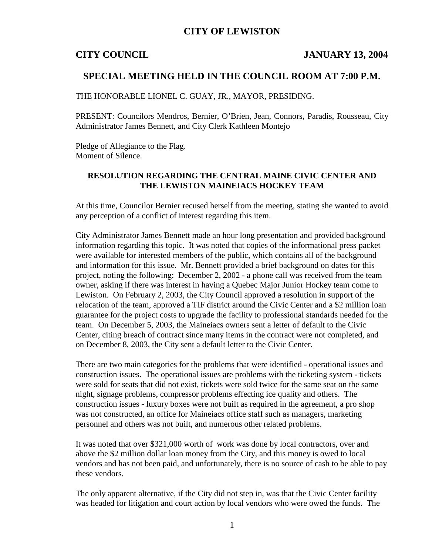## **CITY OF LEWISTON**

### **CITY COUNCIL JANUARY 13, 2004**

### **SPECIAL MEETING HELD IN THE COUNCIL ROOM AT 7:00 P.M.**

THE HONORABLE LIONEL C. GUAY, JR., MAYOR, PRESIDING.

PRESENT: Councilors Mendros, Bernier, O'Brien, Jean, Connors, Paradis, Rousseau, City Administrator James Bennett, and City Clerk Kathleen Montejo

Pledge of Allegiance to the Flag. Moment of Silence.

### **RESOLUTION REGARDING THE CENTRAL MAINE CIVIC CENTER AND THE LEWISTON MAINEIACS HOCKEY TEAM**

At this time, Councilor Bernier recused herself from the meeting, stating she wanted to avoid any perception of a conflict of interest regarding this item.

City Administrator James Bennett made an hour long presentation and provided background information regarding this topic. It was noted that copies of the informational press packet were available for interested members of the public, which contains all of the background and information for this issue. Mr. Bennett provided a brief background on dates for this project, noting the following: December 2, 2002 - a phone call was received from the team owner, asking if there was interest in having a Quebec Major Junior Hockey team come to Lewiston. On February 2, 2003, the City Council approved a resolution in support of the relocation of the team, approved a TIF district around the Civic Center and a \$2 million loan guarantee for the project costs to upgrade the facility to professional standards needed for the team. On December 5, 2003, the Maineiacs owners sent a letter of default to the Civic Center, citing breach of contract since many items in the contract were not completed, and on December 8, 2003, the City sent a default letter to the Civic Center.

There are two main categories for the problems that were identified - operational issues and construction issues. The operational issues are problems with the ticketing system - tickets were sold for seats that did not exist, tickets were sold twice for the same seat on the same night, signage problems, compressor problems effecting ice quality and others. The construction issues - luxury boxes were not built as required in the agreement, a pro shop was not constructed, an office for Maineiacs office staff such as managers, marketing personnel and others was not built, and numerous other related problems.

It was noted that over \$321,000 worth of work was done by local contractors, over and above the \$2 million dollar loan money from the City, and this money is owed to local vendors and has not been paid, and unfortunately, there is no source of cash to be able to pay these vendors.

The only apparent alternative, if the City did not step in, was that the Civic Center facility was headed for litigation and court action by local vendors who were owed the funds. The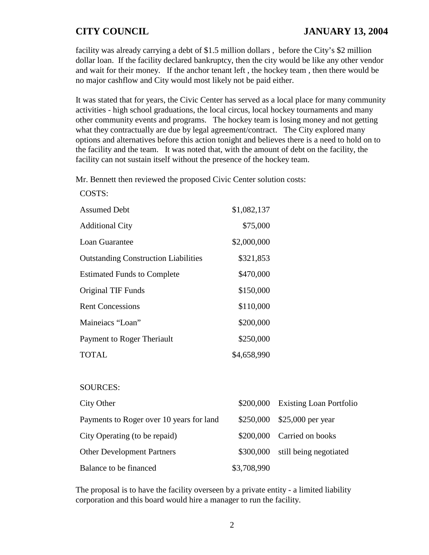facility was already carrying a debt of \$1.5 million dollars , before the City's \$2 million dollar loan. If the facility declared bankruptcy, then the city would be like any other vendor and wait for their money. If the anchor tenant left , the hockey team , then there would be no major cashflow and City would most likely not be paid either.

It was stated that for years, the Civic Center has served as a local place for many community activities - high school graduations, the local circus, local hockey tournaments and many other community events and programs. The hockey team is losing money and not getting what they contractually are due by legal agreement/contract. The City explored many options and alternatives before this action tonight and believes there is a need to hold on to the facility and the team. It was noted that, with the amount of debt on the facility, the facility can not sustain itself without the presence of the hockey team.

Mr. Bennett then reviewed the proposed Civic Center solution costs:

| COSTS:                                      |             |
|---------------------------------------------|-------------|
| <b>Assumed Debt</b>                         | \$1,082,137 |
| <b>Additional City</b>                      | \$75,000    |
| Loan Guarantee                              | \$2,000,000 |
| <b>Outstanding Construction Liabilities</b> | \$321,853   |
| <b>Estimated Funds to Complete</b>          | \$470,000   |
| Original TIF Funds                          | \$150,000   |
| <b>Rent Concessions</b>                     | \$110,000   |
| Maineiacs "Loan"                            | \$200,000   |
| Payment to Roger Theriault                  | \$250,000   |
| TOTAL                                       | \$4,658,990 |

### SOURCES:

| City Other                               |             | \$200,000 Existing Loan Portfolio |
|------------------------------------------|-------------|-----------------------------------|
| Payments to Roger over 10 years for land |             | \$250,000 \$25,000 per year       |
| City Operating (to be repaid)            |             | \$200,000 Carried on books        |
| <b>Other Development Partners</b>        |             | \$300,000 still being negotiated  |
| Balance to be financed                   | \$3,708,990 |                                   |

The proposal is to have the facility overseen by a private entity - a limited liability corporation and this board would hire a manager to run the facility.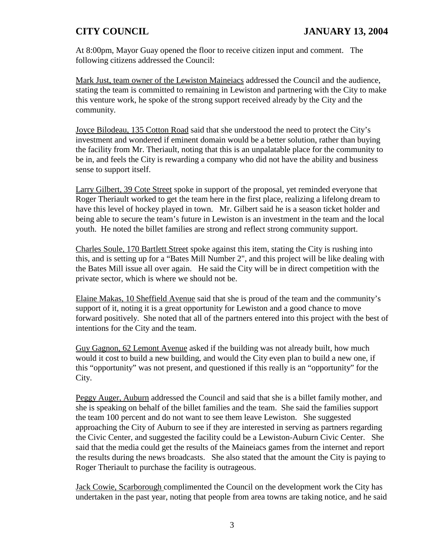At 8:00pm, Mayor Guay opened the floor to receive citizen input and comment. The following citizens addressed the Council:

Mark Just, team owner of the Lewiston Maineiacs addressed the Council and the audience, stating the team is committed to remaining in Lewiston and partnering with the City to make this venture work, he spoke of the strong support received already by the City and the community.

Joyce Bilodeau, 135 Cotton Road said that she understood the need to protect the City's investment and wondered if eminent domain would be a better solution, rather than buying the facility from Mr. Theriault, noting that this is an unpalatable place for the community to be in, and feels the City is rewarding a company who did not have the ability and business sense to support itself.

Larry Gilbert, 39 Cote Street spoke in support of the proposal, yet reminded everyone that Roger Theriault worked to get the team here in the first place, realizing a lifelong dream to have this level of hockey played in town. Mr. Gilbert said he is a season ticket holder and being able to secure the team's future in Lewiston is an investment in the team and the local youth. He noted the billet families are strong and reflect strong community support.

Charles Soule, 170 Bartlett Street spoke against this item, stating the City is rushing into this, and is setting up for a "Bates Mill Number 2", and this project will be like dealing with the Bates Mill issue all over again. He said the City will be in direct competition with the private sector, which is where we should not be.

Elaine Makas, 10 Sheffield Avenue said that she is proud of the team and the community's support of it, noting it is a great opportunity for Lewiston and a good chance to move forward positively. She noted that all of the partners entered into this project with the best of intentions for the City and the team.

Guy Gagnon, 62 Lemont Avenue asked if the building was not already built, how much would it cost to build a new building, and would the City even plan to build a new one, if this "opportunity" was not present, and questioned if this really is an "opportunity" for the City.

Peggy Auger, Auburn addressed the Council and said that she is a billet family mother, and she is speaking on behalf of the billet families and the team. She said the families support the team 100 percent and do not want to see them leave Lewiston. She suggested approaching the City of Auburn to see if they are interested in serving as partners regarding the Civic Center, and suggested the facility could be a Lewiston-Auburn Civic Center. She said that the media could get the results of the Maineiacs games from the internet and report the results during the news broadcasts. She also stated that the amount the City is paying to Roger Theriault to purchase the facility is outrageous.

Jack Cowie, Scarborough complimented the Council on the development work the City has undertaken in the past year, noting that people from area towns are taking notice, and he said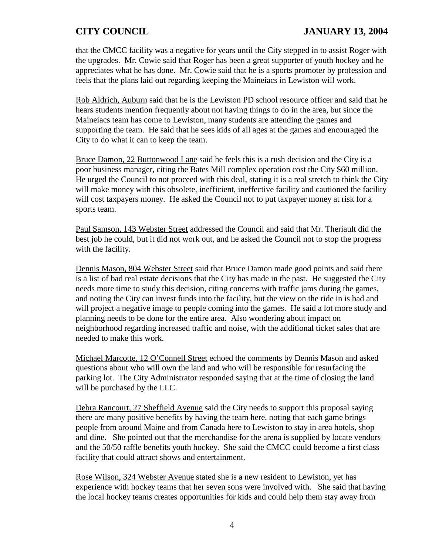# **CITY COUNCIL JANUARY 13, 2004**

that the CMCC facility was a negative for years until the City stepped in to assist Roger with the upgrades. Mr. Cowie said that Roger has been a great supporter of youth hockey and he appreciates what he has done. Mr. Cowie said that he is a sports promoter by profession and feels that the plans laid out regarding keeping the Maineiacs in Lewiston will work.

Rob Aldrich, Auburn said that he is the Lewiston PD school resource officer and said that he hears students mention frequently about not having things to do in the area, but since the Maineiacs team has come to Lewiston, many students are attending the games and supporting the team. He said that he sees kids of all ages at the games and encouraged the City to do what it can to keep the team.

Bruce Damon, 22 Buttonwood Lane said he feels this is a rush decision and the City is a poor business manager, citing the Bates Mill complex operation cost the City \$60 million. He urged the Council to not proceed with this deal, stating it is a real stretch to think the City will make money with this obsolete, inefficient, ineffective facility and cautioned the facility will cost taxpayers money. He asked the Council not to put taxpayer money at risk for a sports team.

Paul Samson, 143 Webster Street addressed the Council and said that Mr. Theriault did the best job he could, but it did not work out, and he asked the Council not to stop the progress with the facility.

Dennis Mason, 804 Webster Street said that Bruce Damon made good points and said there is a list of bad real estate decisions that the City has made in the past. He suggested the City needs more time to study this decision, citing concerns with traffic jams during the games, and noting the City can invest funds into the facility, but the view on the ride in is bad and will project a negative image to people coming into the games. He said a lot more study and planning needs to be done for the entire area. Also wondering about impact on neighborhood regarding increased traffic and noise, with the additional ticket sales that are needed to make this work.

Michael Marcotte, 12 O'Connell Street echoed the comments by Dennis Mason and asked questions about who will own the land and who will be responsible for resurfacing the parking lot. The City Administrator responded saying that at the time of closing the land will be purchased by the LLC.

Debra Rancourt, 27 Sheffield Avenue said the City needs to support this proposal saying there are many positive benefits by having the team here, noting that each game brings people from around Maine and from Canada here to Lewiston to stay in area hotels, shop and dine. She pointed out that the merchandise for the arena is supplied by locate vendors and the 50/50 raffle benefits youth hockey. She said the CMCC could become a first class facility that could attract shows and entertainment.

Rose Wilson, 324 Webster Avenue stated she is a new resident to Lewiston, yet has experience with hockey teams that her seven sons were involved with. She said that having the local hockey teams creates opportunities for kids and could help them stay away from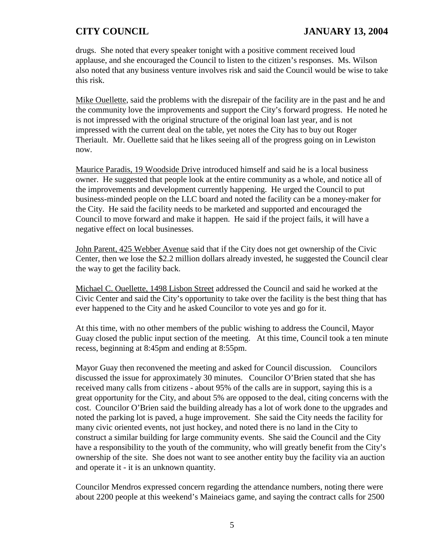drugs. She noted that every speaker tonight with a positive comment received loud applause, and she encouraged the Council to listen to the citizen's responses. Ms. Wilson also noted that any business venture involves risk and said the Council would be wise to take this risk.

Mike Ouellette, said the problems with the disrepair of the facility are in the past and he and the community love the improvements and support the City's forward progress. He noted he is not impressed with the original structure of the original loan last year, and is not impressed with the current deal on the table, yet notes the City has to buy out Roger Theriault. Mr. Ouellette said that he likes seeing all of the progress going on in Lewiston now.

Maurice Paradis, 19 Woodside Drive introduced himself and said he is a local business owner. He suggested that people look at the entire community as a whole, and notice all of the improvements and development currently happening. He urged the Council to put business-minded people on the LLC board and noted the facility can be a money-maker for the City. He said the facility needs to be marketed and supported and encouraged the Council to move forward and make it happen. He said if the project fails, it will have a negative effect on local businesses.

John Parent, 425 Webber Avenue said that if the City does not get ownership of the Civic Center, then we lose the \$2.2 million dollars already invested, he suggested the Council clear the way to get the facility back.

Michael C. Ouellette, 1498 Lisbon Street addressed the Council and said he worked at the Civic Center and said the City's opportunity to take over the facility is the best thing that has ever happened to the City and he asked Councilor to vote yes and go for it.

At this time, with no other members of the public wishing to address the Council, Mayor Guay closed the public input section of the meeting. At this time, Council took a ten minute recess, beginning at 8:45pm and ending at 8:55pm.

Mayor Guay then reconvened the meeting and asked for Council discussion. Councilors discussed the issue for approximately 30 minutes. Councilor O'Brien stated that she has received many calls from citizens - about 95% of the calls are in support, saying this is a great opportunity for the City, and about 5% are opposed to the deal, citing concerns with the cost. Councilor O'Brien said the building already has a lot of work done to the upgrades and noted the parking lot is paved, a huge improvement. She said the City needs the facility for many civic oriented events, not just hockey, and noted there is no land in the City to construct a similar building for large community events. She said the Council and the City have a responsibility to the youth of the community, who will greatly benefit from the City's ownership of the site. She does not want to see another entity buy the facility via an auction and operate it - it is an unknown quantity.

Councilor Mendros expressed concern regarding the attendance numbers, noting there were about 2200 people at this weekend's Maineiacs game, and saying the contract calls for 2500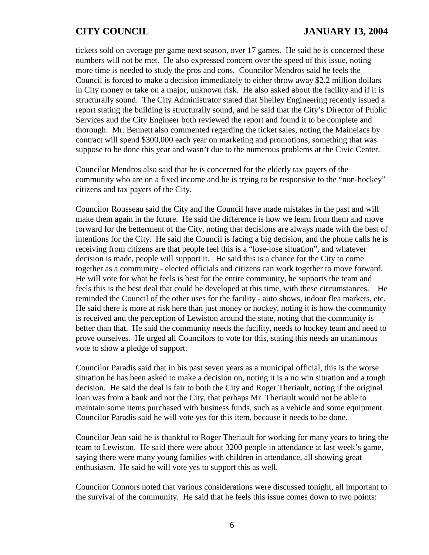tickets sold on average per game next season, over 17 games. He said he is concerned these numbers will not be met. He also expressed concern over the speed of this issue, noting more time is needed to study the pros and cons. Councilor Mendros said he feels the Council is forced to make a decision immediately to either throw away \$2.2 million dollars in City money or take on a major, unknown risk. He also asked about the facility and if it is structurally sound. The City Administrator stated that Shelley Engineering recently issued a report stating the building is structurally sound, and he said that the City's Director of Public Services and the City Engineer both reviewed the report and found it to be complete and thorough. Mr. Bennett also commented regarding the ticket sales, noting the Maineiacs by contract will spend \$300,000 each year on marketing and promotions, something that was suppose to be done this year and wasn't due to the numerous problems at the Civic Center.

Councilor Mendros also said that he is concerned for the elderly tax payers of the community who are on a fixed income and he is trying to be responsive to the "non-hockey" citizens and tax payers of the City.

Councilor Rousseau said the City and the Council have made mistakes in the past and will make them again in the future. He said the difference is how we learn from them and move forward for the betterment of the City, noting that decisions are always made with the best of intentions for the City. He said the Council is facing a big decision, and the phone calls he is receiving from citizens are that people feel this is a "lose-lose situation", and whatever decision is made, people will support it. He said this is a chance for the City to come together as a community - elected officials and citizens can work together to move forward. He will vote for what he feels is best for the entire community, he supports the team and feels this is the best deal that could be developed at this time, with these circumstances. He reminded the Council of the other uses for the facility - auto shows, indoor flea markets, etc. He said there is more at risk here than just money or hockey, noting it is how the community is received and the perception of Lewiston around the state, noting that the community is better than that. He said the community needs the facility, needs to hockey team and need to prove ourselves. He urged all Councilors to vote for this, stating this needs an unanimous vote to show a pledge of support.

Councilor Paradis said that in his past seven years as a municipal official, this is the worse situation he has been asked to make a decision on, noting it is a no win situation and a tough decision. He said the deal is fair to both the City and Roger Theriault, noting if the original loan was from a bank and not the City, that perhaps Mr. Theriault would not be able to maintain some items purchased with business funds, such as a vehicle and some equipment. Councilor Paradis said he will vote yes for this item, because it needs to be done.

Councilor Jean said he is thankful to Roger Theriault for working for many years to bring the team to Lewiston. He said there were about 3200 people in attendance at last week's game, saying there were many young families with children in attendance, all showing great enthusiasm. He said he will vote yes to support this as well.

Councilor Connors noted that various considerations were discussed tonight, all important to the survival of the community. He said that he feels this issue comes down to two points: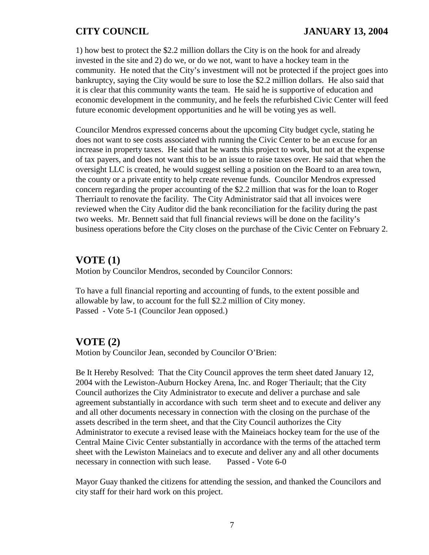1) how best to protect the \$2.2 million dollars the City is on the hook for and already invested in the site and 2) do we, or do we not, want to have a hockey team in the community. He noted that the City's investment will not be protected if the project goes into bankruptcy, saying the City would be sure to lose the \$2.2 million dollars. He also said that it is clear that this community wants the team. He said he is supportive of education and economic development in the community, and he feels the refurbished Civic Center will feed future economic development opportunities and he will be voting yes as well.

Councilor Mendros expressed concerns about the upcoming City budget cycle, stating he does not want to see costs associated with running the Civic Center to be an excuse for an increase in property taxes. He said that he wants this project to work, but not at the expense of tax payers, and does not want this to be an issue to raise taxes over. He said that when the oversight LLC is created, he would suggest selling a position on the Board to an area town, the county or a private entity to help create revenue funds. Councilor Mendros expressed concern regarding the proper accounting of the \$2.2 million that was for the loan to Roger Therriault to renovate the facility. The City Administrator said that all invoices were reviewed when the City Auditor did the bank reconciliation for the facility during the past two weeks. Mr. Bennett said that full financial reviews will be done on the facility's business operations before the City closes on the purchase of the Civic Center on February 2.

## **VOTE (1)**

Motion by Councilor Mendros, seconded by Councilor Connors:

To have a full financial reporting and accounting of funds, to the extent possible and allowable by law, to account for the full \$2.2 million of City money. Passed - Vote 5-1 (Councilor Jean opposed.)

## **VOTE (2)**

Motion by Councilor Jean, seconded by Councilor O'Brien:

Be It Hereby Resolved: That the City Council approves the term sheet dated January 12, 2004 with the Lewiston-Auburn Hockey Arena, Inc. and Roger Theriault; that the City Council authorizes the City Administrator to execute and deliver a purchase and sale agreement substantially in accordance with such term sheet and to execute and deliver any and all other documents necessary in connection with the closing on the purchase of the assets described in the term sheet, and that the City Council authorizes the City Administrator to execute a revised lease with the Maineiacs hockey team for the use of the Central Maine Civic Center substantially in accordance with the terms of the attached term sheet with the Lewiston Maineiacs and to execute and deliver any and all other documents necessary in connection with such lease. Passed - Vote 6-0

Mayor Guay thanked the citizens for attending the session, and thanked the Councilors and city staff for their hard work on this project.